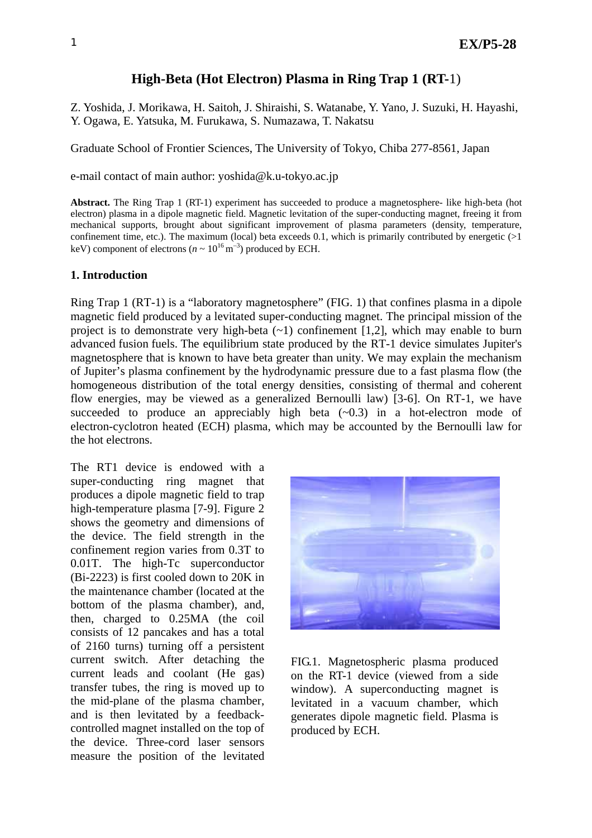# **High-Beta (Hot Electron) Plasma in Ring Trap 1 (RT-**1)

Z. Yoshida, J. Morikawa, H. Saitoh, J. Shiraishi, S. Watanabe, Y. Yano, J. Suzuki, H. Hayashi, Y. Ogawa, E. Yatsuka, M. Furukawa, S. Numazawa, T. Nakatsu

Graduate School of Frontier Sciences, The University of Tokyo, Chiba 277-8561, Japan

e-mail contact of main author: [yoshida@k.u-tokyo.ac.jp](mailto:yoshida@k.u-tokyo.ac.jp)

**Abstract.** The Ring Trap 1 (RT-1) experiment has succeeded to produce a magnetosphere- like high-beta (hot electron) plasma in a dipole magnetic field. Magnetic levitation of the super-conducting magnet, freeing it from mechanical supports, brought about significant improvement of plasma parameters (density, temperature, confinement time, etc.). The maximum (local) beta exceeds 0.1, which is primarily contributed by energetic  $(>1$ keV) component of electrons ( $n \sim 10^{16} \text{ m}^{-3}$ ) produced by ECH.

#### **1. Introduction**

Ring Trap 1 (RT-1) is a "laboratory magnetosphere" (FIG. 1) that confines plasma in a dipole magnetic field produced by a levitated super-conducting magnet. The principal mission of the project is to demonstrate very high-beta  $(-1)$  confinement [1,2], which may enable to burn advanced fusion fuels. The equilibrium state produced by the RT-1 device simulates Jupiter's magnetosphere that is known to have beta greater than unity. We may explain the mechanism of Jupiter's plasma confinement by the hydrodynamic pressure due to a fast plasma flow (the homogeneous distribution of the total energy densities, consisting of thermal and coherent flow energies, may be viewed as a generalized Bernoulli law) [3-6]. On RT-1, we have succeeded to produce an appreciably high beta  $(-0.3)$  in a hot-electron mode of electron-cyclotron heated (ECH) plasma, which may be accounted by the Bernoulli law for the hot electrons.

The RT1 device is endowed with a super-conducting ring magnet that produces a dipole magnetic field to trap high-temperature plasma [7-9]. Figure 2 shows the geometry and dimensions of the device. The field strength in the confinement region varies from 0.3T to 0.01T. The high-Tc superconductor (Bi-2223) is first cooled down to 20K in the maintenance chamber (located at the bottom of the plasma chamber), and, then, charged to 0.25MA (the coil consists of 12 pancakes and has a total of 2160 turns) turning off a persistent current switch. After detaching the current leads and coolant (He gas) transfer tubes, the ring is moved up to the mid-plane of the plasma chamber, and is then levitated by a feedbackcontrolled magnet installed on the top of the device. Three-cord laser sensors measure the position of the levitated



FIG.1. Magnetospheric plasma produced on the RT-1 device (viewed from a side window). A superconducting magnet is levitated in a vacuum chamber, which generates dipole magnetic field. Plasma is produced by ECH.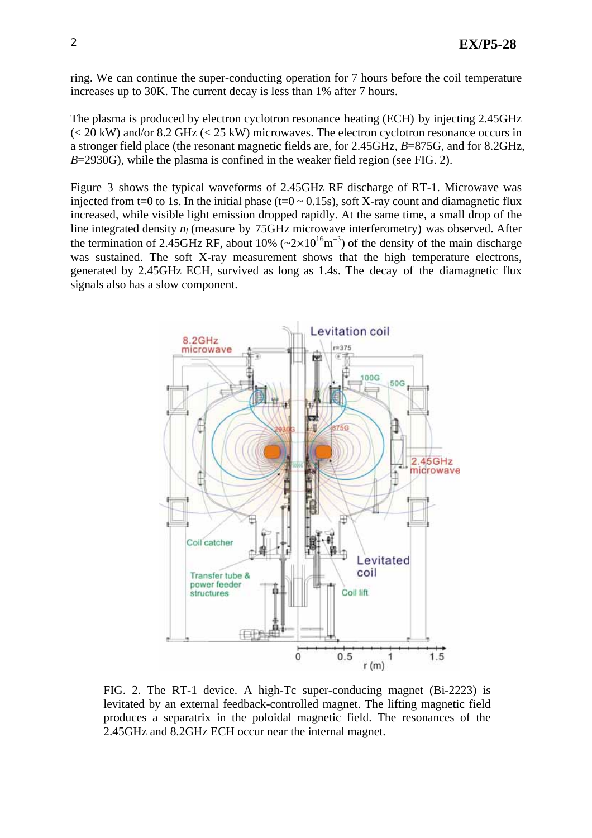ring. We can continue the super-conducting operation for 7 hours before the coil temperature increases up to 30K. The current decay is less than 1% after 7 hours.

The plasma is produced by electron cyclotron resonance heating (ECH) by injecting 2.45GHz (< 20 kW) and/or 8.2 GHz (< 25 kW) microwaves. The electron cyclotron resonance occurs in a stronger field place (the resonant magnetic fields are, for 2.45GHz, *B*=875G, and for 8.2GHz, *B*=2930G), while the plasma is confined in the weaker field region (see FIG. 2).

Figure 3 shows the typical waveforms of 2.45GHz RF discharge of RT-1. Microwave was injected from t=0 to 1s. In the initial phase (t=0  $\sim$  0.15s), soft X-ray count and diamagnetic flux increased, while visible light emission dropped rapidly. At the same time, a small drop of the line integrated density  $n_l$  (measure by 75GHz microwave interferometry) was observed. After the termination of 2.45GHz RF, about 10% ( $\sim$ 2×10<sup>16</sup>m<sup>-3</sup>) of the density of the main discharge was sustained. The soft X-ray measurement shows that the high temperature electrons. generated by 2.45GHz ECH, survived as long as 1.4s. The decay of the diamagnetic flux signals also has a slow component.



FIG. 2. The RT-1 device. A high-Tc super-conducing magnet (Bi-2223) is levitated by an external feedback-controlled magnet. The lifting magnetic field produces a separatrix in the poloidal magnetic field. The resonances of the 2.45GHz and 8.2GHz ECH occur near the internal magnet.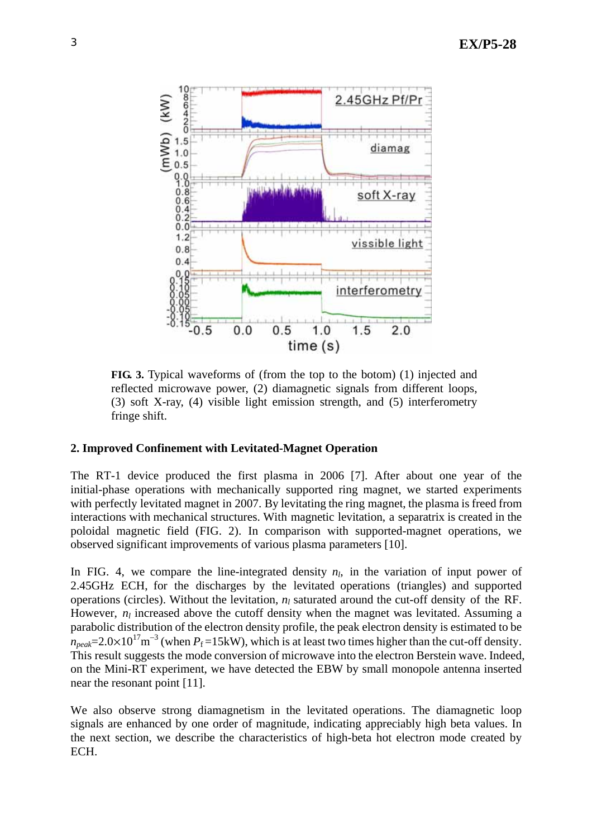

**FIG. 3.** Typical waveforms of (from the top to the botom) (1) injected and reflected microwave power, (2) diamagnetic signals from different loops, (3) soft X-ray, (4) visible light emission strength, and (5) interferometry fringe shift.

## **2. Improved Confinement with Levitated-Magnet Operation**

The RT-1 device produced the first plasma in 2006 [7]. After about one year of the initial-phase operations with mechanically supported ring magnet, we started experiments with perfectly levitated magnet in 2007. By levitating the ring magnet, the plasma is freed from interactions with mechanical structures. With magnetic levitation, a separatrix is created in the poloidal magnetic field (FIG. 2). In comparison with supported-magnet operations, we observed significant improvements of various plasma parameters [10].

In FIG. 4, we compare the line-integrated density  $n_l$ , in the variation of input power of 2.45GHz ECH, for the discharges by the levitated operations (triangles) and supported operations (circles). Without the levitation,  $n_l$  saturated around the cut-off density of the RF. However,  $n_l$  increased above the cutoff density when the magnet was levitated. Assuming a parabolic distribution of the electron density profile, the peak electron density is estimated to be  $n_{peak}$ =2.0×10<sup>17</sup>m<sup>-3</sup> (when  $P_f$ =15kW), which is at least two times higher than the cut-off density. This result suggests the mode conversion of microwave into the electron Berstein wave. Indeed, on the Mini-RT experiment, we have detected the EBW by small monopole antenna inserted near the resonant point [11].

We also observe strong diamagnetism in the levitated operations. The diamagnetic loop signals are enhanced by one order of magnitude, indicating appreciably high beta values. In the next section, we describe the characteristics of high-beta hot electron mode created by ECH.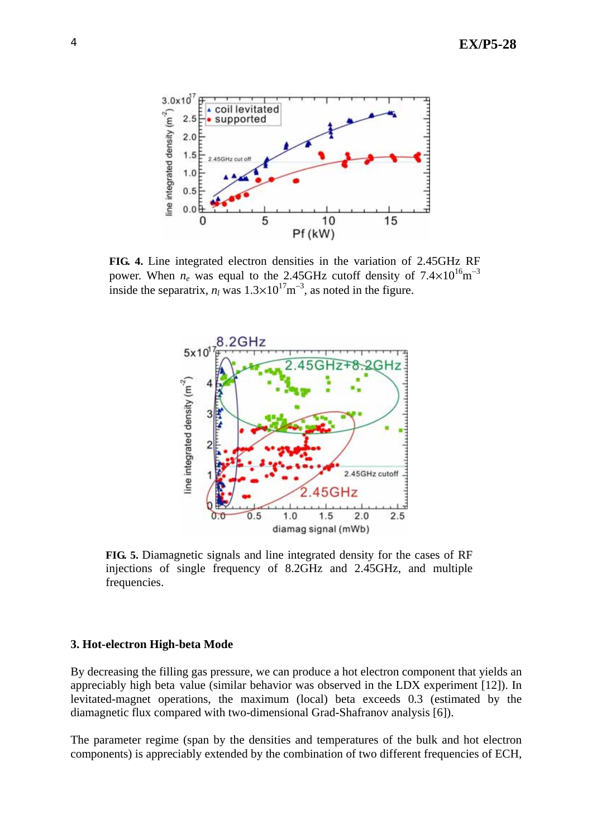

**FIG. 4.** Line integrated electron densities in the variation of 2.45GHz RF power. When  $n_e$  was equal to the 2.45GHz cutoff density of  $7.4 \times 10^{16}$ m<sup>-3</sup> inside the separatrix,  $n_l$  was  $1.3 \times 10^{17}$ m<sup>-3</sup>, as noted in the figure.



**FIG. 5.** Diamagnetic signals and line integrated density for the cases of RF injections of single frequency of 8.2GHz and 2.45GHz, and multiple frequencies.

#### **3. Hot-electron High-beta Mode**

By decreasing the filling gas pressure, we can produce a hot electron component that yields an appreciably high beta value (similar behavior was observed in the LDX experiment [12]). In levitated-magnet operations, the maximum (local) beta exceeds 0.3 (estimated by the diamagnetic flux compared with two-dimensional Grad-Shafranov analysis [6]).

The parameter regime (span by the densities and temperatures of the bulk and hot electron components) is appreciably extended by the combination of two different frequencies of ECH,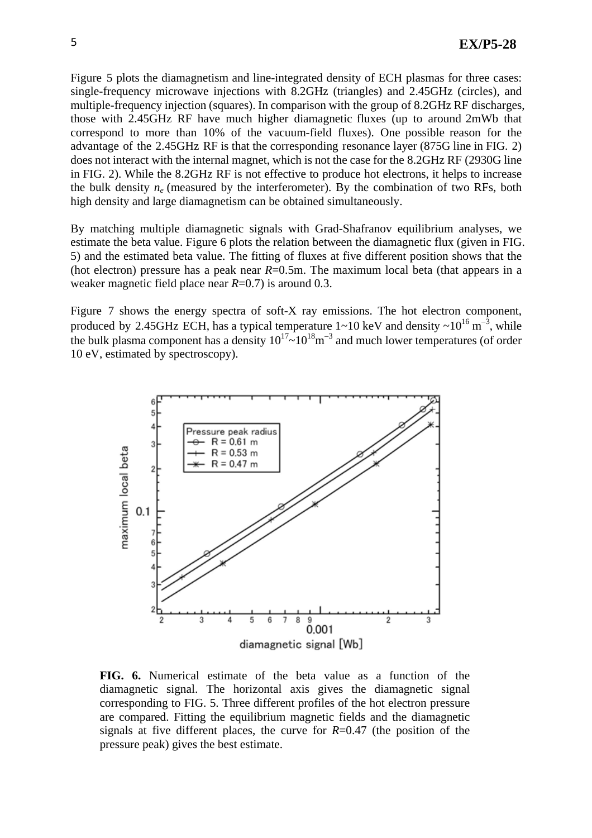Figure 5 plots the diamagnetism and line-integrated density of ECH plasmas for three cases: single-frequency microwave injections with 8.2GHz (triangles) and 2.45GHz (circles), and multiple-frequency injection (squares). In comparison with the group of 8.2GHz RF discharges, those with 2.45GHz RF have much higher diamagnetic fluxes (up to around 2mWb that correspond to more than 10% of the vacuum-field fluxes). One possible reason for the advantage of the 2.45GHz RF is that the corresponding resonance layer (875G line in FIG. 2) does not interact with the internal magnet, which is not the case for the 8.2GHz RF (2930G line in FIG. 2). While the 8.2GHz RF is not effective to produce hot electrons, it helps to increase the bulk density  $n_e$  (measured by the interferometer). By the combination of two RFs, both high density and large diamagnetism can be obtained simultaneously.

By matching multiple diamagnetic signals with Grad-Shafranov equilibrium analyses, we estimate the beta value. Figure 6 plots the relation between the diamagnetic flux (given in FIG. 5) and the estimated beta value. The fitting of fluxes at five different position shows that the (hot electron) pressure has a peak near  $R=0.5$ m. The maximum local beta (that appears in a weaker magnetic field place near *R*=0.7) is around 0.3.

Figure 7 shows the energy spectra of soft-X ray emissions. The hot electron component, produced by 2.45GHz ECH, has a typical temperature  $1 \sim 10 \text{ keV}$  and density  $\sim 10^{16} \text{ m}^{-3}$ , while the bulk plasma component has a density  $10^{17}$ ~ $10^{18}$ m<sup>-3</sup> and much lower temperatures (of order 10 eV, estimated by spectroscopy).



**FIG. 6.** Numerical estimate of the beta value as a function of the diamagnetic signal. The horizontal axis gives the diamagnetic signal corresponding to FIG. 5. Three different profiles of the hot electron pressure are compared. Fitting the equilibrium magnetic fields and the diamagnetic signals at five different places, the curve for *R*=0.47 (the position of the pressure peak) gives the best estimate.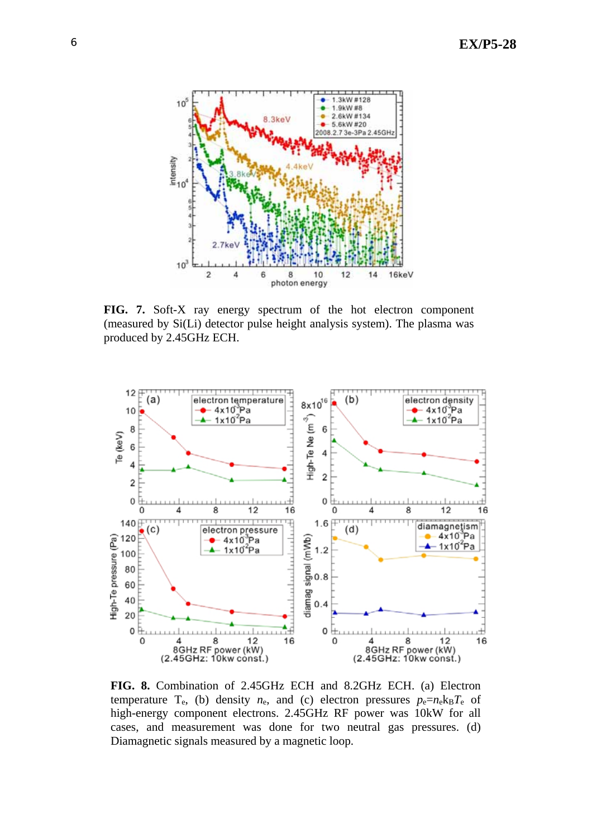

**FIG. 7.** Soft-X ray energy spectrum of the hot electron component (measured by Si(Li) detector pulse height analysis system). The plasma was produced by 2.45GHz ECH.



**FIG. 8.** Combination of 2.45GHz ECH and 8.2GHz ECH. (a) Electron temperature  $T_e$ , (b) density  $n_e$ , and (c) electron pressures  $p_e=n_e k_B T_e$  of high-energy component electrons. 2.45GHz RF power was 10kW for all cases, and measurement was done for two neutral gas pressures. (d) Diamagnetic signals measured by a magnetic loop.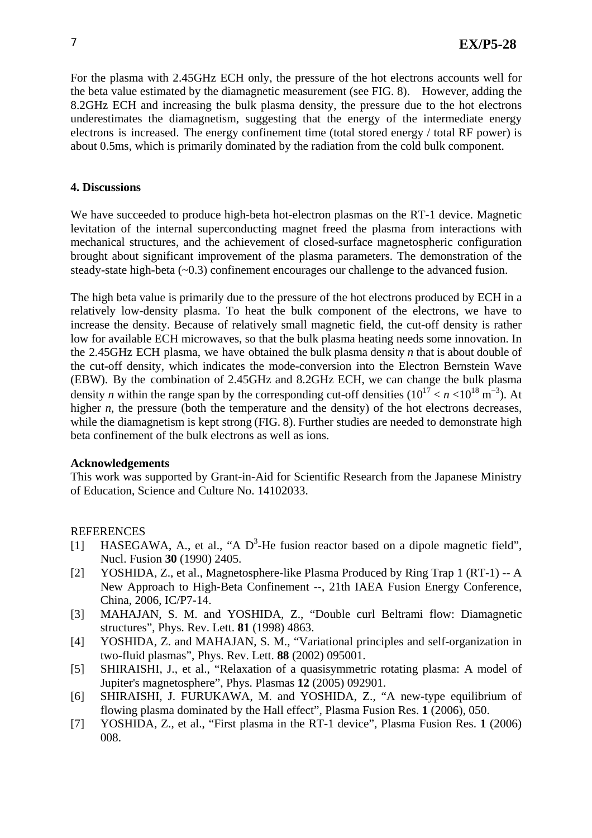For the plasma with 2.45GHz ECH only, the pressure of the hot electrons accounts well for the beta value estimated by the diamagnetic measurement (see FIG. 8). However, adding the 8.2GHz ECH and increasing the bulk plasma density, the pressure due to the hot electrons underestimates the diamagnetism, suggesting that the energy of the intermediate energy electrons is increased. The energy confinement time (total stored energy / total RF power) is about 0.5ms, which is primarily dominated by the radiation from the cold bulk component.

## **4. Discussions**

We have succeeded to produce high-beta hot-electron plasmas on the RT-1 device. Magnetic levitation of the internal superconducting magnet freed the plasma from interactions with mechanical structures, and the achievement of closed-surface magnetospheric configuration brought about significant improvement of the plasma parameters. The demonstration of the steady-state high-beta (~0.3) confinement encourages our challenge to the advanced fusion.

The high beta value is primarily due to the pressure of the hot electrons produced by ECH in a relatively low-density plasma. To heat the bulk component of the electrons, we have to increase the density. Because of relatively small magnetic field, the cut-off density is rather low for available ECH microwaves, so that the bulk plasma heating needs some innovation. In the 2.45GHz ECH plasma, we have obtained the bulk plasma density *n* that is about double of the cut-off density, which indicates the mode-conversion into the Electron Bernstein Wave (EBW). By the combination of 2.45GHz and 8.2GHz ECH, we can change the bulk plasma density *n* within the range span by the corresponding cut-off densities  $(10^{17} < n < 10^{18} \text{ m}^{-3})$ . At higher *n*, the pressure (both the temperature and the density) of the hot electrons decreases, while the diamagnetism is kept strong (FIG. 8). Further studies are needed to demonstrate high beta confinement of the bulk electrons as well as ions.

## **Acknowledgements**

This work was supported by Grant-in-Aid for Scientific Research from the Japanese Ministry of Education, Science and Culture No. 14102033.

# **REFERENCES**

- [1] HASEGAWA, A., et al., "A  $D^3$ -He fusion reactor based on a dipole magnetic field", Nucl. Fusion **30** (1990) 2405.
- [2] YOSHIDA, Z., et al., Magnetosphere-like Plasma Produced by Ring Trap 1 (RT-1) -- A New Approach to High-Beta Confinement --, 21th IAEA Fusion Energy Conference, China, 2006, IC/P7-14.
- [3] MAHAJAN, S. M. and YOSHIDA, Z., "Double curl Beltrami flow: Diamagnetic structures", Phys. Rev. Lett. **81** (1998) 4863.
- [4] YOSHIDA, Z. and MAHAJAN, S. M., "Variational principles and self-organization in two-fluid plasmas", Phys. Rev. Lett. **88** (2002) 095001.
- [5] SHIRAISHI, J., et al., "Relaxation of a quasisymmetric rotating plasma: A model of Jupiter's magnetosphere", Phys. Plasmas **12** (2005) 092901.
- [6] SHIRAISHI, J. FURUKAWA, M. and YOSHIDA, Z., "A new-type equilibrium of flowing plasma dominated by the Hall effect", Plasma Fusion Res. **1** (2006), 050.
- [7] YOSHIDA, Z., et al., "First plasma in the RT-1 device", Plasma Fusion Res. **1** (2006) 008.